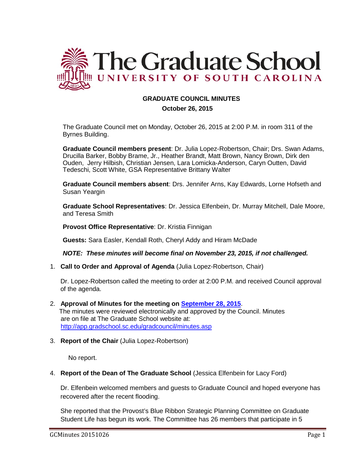

# **GRADUATE COUNCIL MINUTES**

 **October 26, 2015**

The Graduate Council met on Monday, October 26, 2015 at 2:00 P.M. in room 311 of the Byrnes Building.

**Graduate Council members present**: Dr. Julia Lopez-Robertson, Chair; Drs. Swan Adams, Drucilla Barker, Bobby Brame, Jr., Heather Brandt, Matt Brown, Nancy Brown, Dirk den Ouden, Jerry Hilbish, Christian Jensen, Lara Lomicka-Anderson, Caryn Outten, David Tedeschi, Scott White, GSA Representative Brittany Walter

**Graduate Council members absent**: Drs. Jennifer Arns, Kay Edwards, Lorne Hofseth and Susan Yeargin

**Graduate School Representatives**: Dr. Jessica Elfenbein, Dr. Murray Mitchell, Dale Moore, and Teresa Smith

**Provost Office Representative**: Dr. Kristia Finnigan

**Guests:** Sara Easler, Kendall Roth, Cheryl Addy and Hiram McDade

*NOTE: These minutes will become final on November 23, 2015, if not challenged.*

1. **Call to Order and Approval of Agenda** (Julia Lopez-Robertson, Chair)

Dr. Lopez-Robertson called the meeting to order at 2:00 P.M. and received Council approval of the agenda.

- 2. **Approval of Minutes for the meeting on [September 28, 2015](http://gradschool.sc.edu/facstaff/gradcouncil/2015/GC%20Minutes%20September%2028%202015rr.pdf)**. The minutes were reviewed electronically and approved by the Council. Minutes are on file at The Graduate School website at: <http://app.gradschool.sc.edu/gradcouncil/minutes.asp>
- 3. **Report of the Chair** (Julia Lopez-Robertson)

No report.

4. **Report of the Dean of The Graduate School** (Jessica Elfenbein for Lacy Ford)

Dr. Elfenbein welcomed members and guests to Graduate Council and hoped everyone has recovered after the recent flooding.

She reported that the Provost's Blue Ribbon Strategic Planning Committee on Graduate Student Life has begun its work. The Committee has 26 members that participate in 5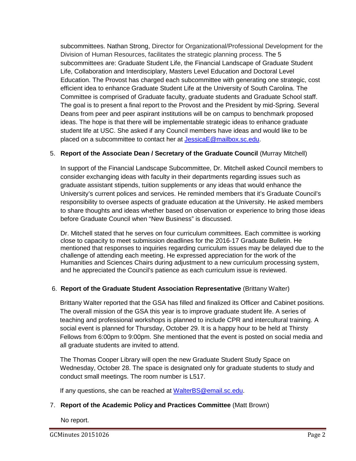subcommittees. Nathan Strong, Director for Organizational/Professional Development for the Division of Human Resources, facilitates the strategic planning process. The 5 subcommittees are: Graduate Student Life, the Financial Landscape of Graduate Student Life, Collaboration and Interdisciplary, Masters Level Education and Doctoral Level Education. The Provost has charged each subcommittee with generating one strategic, cost efficient idea to enhance Graduate Student Life at the University of South Carolina. The Committee is comprised of Graduate faculty, graduate students and Graduate School staff. The goal is to present a final report to the Provost and the President by mid-Spring. Several Deans from peer and peer aspirant institutions will be on campus to benchmark proposed ideas. The hope is that there will be implementable strategic ideas to enhance graduate student life at USC. She asked if any Council members have ideas and would like to be placed on a subcommittee to contact her at [JessicaE@mailbox.sc.edu.](mailto:JessicaE@mailbox.sc.edu)

# 5. **Report of the Associate Dean / Secretary of the Graduate Council** (Murray Mitchell)

In support of the Financial Landscape Subcommittee, Dr. Mitchell asked Council members to consider exchanging ideas with faculty in their departments regarding issues such as graduate assistant stipends, tuition supplements or any ideas that would enhance the University's current polices and services. He reminded members that it's Graduate Council's responsibility to oversee aspects of graduate education at the University. He asked members to share thoughts and ideas whether based on observation or experience to bring those ideas before Graduate Council when "New Business" is discussed.

Dr. Mitchell stated that he serves on four curriculum committees. Each committee is working close to capacity to meet submission deadlines for the 2016-17 Graduate Bulletin. He mentioned that responses to inquiries regarding curriculum issues may be delayed due to the challenge of attending each meeting. He expressed appreciation for the work of the Humanities and Sciences Chairs during adjustment to a new curriculum processing system, and he appreciated the Council's patience as each curriculum issue is reviewed.

### 6. **Report of the Graduate Student Association Representative** (Brittany Walter)

Brittany Walter reported that the GSA has filled and finalized its Officer and Cabinet positions. The overall mission of the GSA this year is to improve graduate student life. A series of teaching and professional workshops is planned to include CPR and intercultural training. A social event is planned for Thursday, October 29. It is a happy hour to be held at Thirsty Fellows from 6:00pm to 9:00pm. She mentioned that the event is posted on social media and all graduate students are invited to attend.

The Thomas Cooper Library will open the new Graduate Student Study Space on Wednesday, October 28. The space is designated only for graduate students to study and conduct small meetings. The room number is L517.

If any questions, she can be reached at [WalterBS@email.sc.edu.](mailto:WalterBS@email.sc.edu)

### 7. **Report of the Academic Policy and Practices Committee** (Matt Brown)

No report.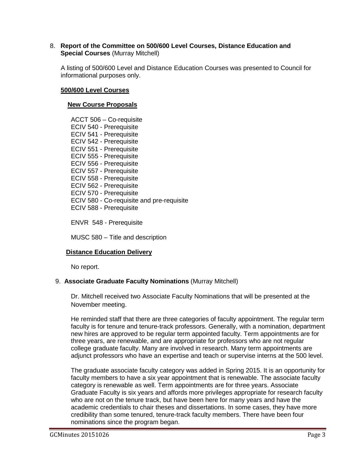### 8. **Report of the Committee on 500/600 Level Courses, Distance Education and Special Courses** (Murray Mitchell)

A listing of 500/600 Level and Distance Education Courses was presented to Council for informational purposes only.

### **500/600 Level Courses**

#### **New Course Proposals**

ACCT 506 – Co-requisite ECIV 540 - Prerequisite ECIV 541 - Prerequisite ECIV 542 - Prerequisite ECIV 551 - Prerequisite ECIV 555 - Prerequisite ECIV 556 - Prerequisite ECIV 557 - Prerequisite ECIV 558 - Prerequisite ECIV 562 - Prerequisite ECIV 570 - Prerequisite ECIV 580 - Co-requisite and pre-requisite ECIV 588 - Prerequisite

ENVR 548 - Prerequisite

MUSC 580 – Title and description

### **Distance Education Delivery**

No report.

#### 9. **Associate Graduate Faculty Nominations** (Murray Mitchell)

Dr. Mitchell received two Associate Faculty Nominations that will be presented at the November meeting.

He reminded staff that there are three categories of faculty appointment. The regular term faculty is for tenure and tenure-track professors. Generally, with a nomination, department new hires are approved to be regular term appointed faculty. Term appointments are for three years, are renewable, and are appropriate for professors who are not regular college graduate faculty. Many are involved in research. Many term appointments are adjunct professors who have an expertise and teach or supervise interns at the 500 level.

The graduate associate faculty category was added in Spring 2015. It is an opportunity for faculty members to have a six year appointment that is renewable. The associate faculty category is renewable as well. Term appointments are for three years. Associate Graduate Faculty is six years and affords more privileges appropriate for research faculty who are not on the tenure track, but have been here for many years and have the academic credentials to chair theses and dissertations. In some cases, they have more credibility than some tenured, tenure-track faculty members. There have been four nominations since the program began.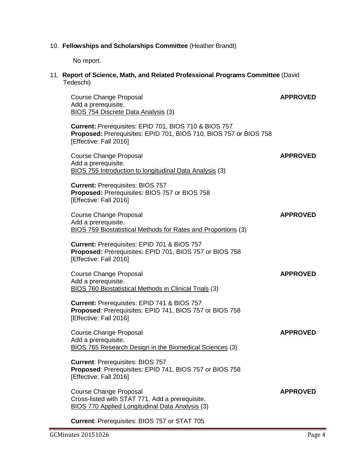| No report.                                                                                                                                           |                 |
|------------------------------------------------------------------------------------------------------------------------------------------------------|-----------------|
| 11. Report of Science, Math, and Related Professional Programs Committee (David<br>Tedeschi)                                                         |                 |
| <b>Course Change Proposal</b><br>Add a prerequisite.<br><b>BIOS 754 Discrete Data Analysis (3)</b>                                                   | <b>APPROVED</b> |
| Current: Prerequisites: EPID 701, BIOS 710 & BIOS 757<br>Proposed: Prerequisites: EPID 701, BIOS 710, BIOS 757 or BIOS 758<br>[Effective: Fall 2016] |                 |
| <b>Course Change Proposal</b><br>Add a prerequisite.<br>BIOS 755 Introduction to longitudinal Data Analysis (3)                                      | <b>APPROVED</b> |
| <b>Current: Prerequisites: BIOS 757</b><br>Proposed: Prerequisites: BIOS 757 or BIOS 758<br>[Effective: Fall 2016]                                   |                 |
| <b>Course Change Proposal</b><br>Add a prerequisite.<br>BIOS 759 Biostatistical Methods for Rates and Proportions (3)                                | <b>APPROVED</b> |
| Current: Prerequisites: EPID 701 & BIOS 757<br>Proposed: Prerequisites: EPID 701, BIOS 757 or BIOS 758<br>[Effective: Fall 2016]                     |                 |
| <b>Course Change Proposal</b><br>Add a prerequisite.<br>BIOS 760 Biostatistical Methods in Clinical Trials (3)                                       | <b>APPROVED</b> |
| Current: Prerequisites: EPID 741 & BIOS 757<br>Proposed: Prerequisites: EPID 741, BIOS 757 or BIOS 758<br>[Effective: Fall 2016]                     |                 |
| <b>Course Change Proposal</b><br>Add a prerequisite.<br>BIOS 765 Research Design in the Biomedical Sciences (3)                                      | <b>APPROVED</b> |
| <b>Current: Prerequisites: BIOS 757</b><br>Proposed: Prerequisites: EPID 741, BIOS 757 or BIOS 758<br>[Effective: Fall 2016]                         |                 |
| <b>Course Change Proposal</b><br>Cross-listed with STAT 771. Add a prerequisite.<br><b>BIOS 770 Applied Longitudinal Data Analysis (3)</b>           | <b>APPROVED</b> |
| Current: Prerequisites: BIOS 757 or STAT 705                                                                                                         |                 |

# 10. **Fellowships and Scholarships Committee** (Heather Brandt)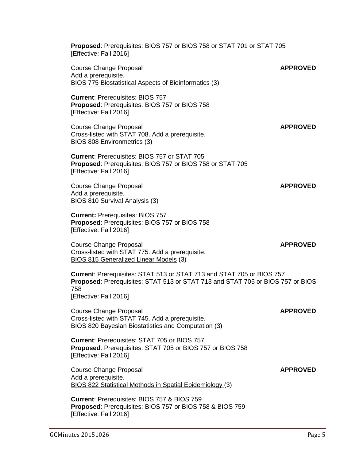**Proposed**: Prerequisites: BIOS 757 or BIOS 758 or STAT 701 or STAT 705 [Effective: Fall 2016] **Course Change Proposal** *APPROVED* Add a prerequisite. BIOS 775 Biostatistical Aspects of Bioinformatics (3) **Current**: Prerequisites: BIOS 757 **Proposed**: Prerequisites: BIOS 757 or BIOS 758 [Effective: Fall 2016] **Course Change Proposal** *APPROVED* Cross-listed with STAT 708. Add a prerequisite. BIOS 808 Environmetrics (3) **Current**: Prerequisites: BIOS 757 or STAT 705 **Proposed**: Prerequisites: BIOS 757 or BIOS 758 or STAT 705 [Effective: Fall 2016] **Course Change Proposal** *APPROVED* Add a prerequisite. BIOS 810 Survival Analysis (3) **Current:** Prerequisites: BIOS 757 **Proposed**: Prerequisites: BIOS 757 or BIOS 758 [Effective: Fall 2016] **Course Change Proposal** *APPROVED* Cross-listed with STAT 775. Add a prerequisite. BIOS 815 Generalized Linear Models (3) **Curren**t: Prerequisites: STAT 513 or STAT 713 and STAT 705 or BIOS 757 **Proposed**: Prerequisites: STAT 513 or STAT 713 and STAT 705 or BIOS 757 or BIOS [Effective: Fall 2016] **Course Change Proposal** *APPROVED* Cross-listed with STAT 745. Add a prerequisite. BIOS 820 Bayesian Biostatistics and Computation (3) **Current**: Prerequisites: STAT 705 or BIOS 757 **Proposed**: Prerequisites: STAT 705 or BIOS 757 or BIOS 758 [Effective: Fall 2016] **Course Change Proposal** *APPROVED* Add a prerequisite. BIOS 822 Statistical Methods in Spatial Epidemiology (3) **Current**: Prerequisites: BIOS 757 & BIOS 759 **Proposed**: Prerequisites: BIOS 757 or BIOS 758 & BIOS 759

[Effective: Fall 2016]

758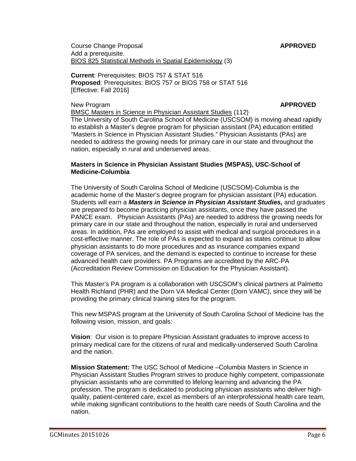Course Change Proposal **APPROVED** Add a prerequisite. BIOS 825 Statistical Methods in Spatial Epidemiology (3)

**Current**: Prerequisites: BIOS 757 & STAT 516 **Proposed**: Prerequisites: BIOS 757 or BIOS 758 or STAT 516 [Effective: Fall 2016]

#### New Program **APPROVED**

BMSC Masters in Science in Physician Assistant Studies (112)

The University of South Carolina School of Medicine (USCSOM) is moving ahead rapidly to establish a Master's degree program for physician assistant (PA) education entitled "Masters in Science in Physician Assistant Studies." Physician Assistants (PAs) are needed to address the growing needs for primary care in our state and throughout the nation, especially in rural and underserved areas.

### **Masters in Science in Physician Assistant Studies (MSPAS), USC-School of Medicine-Columbia**

The University of South Carolina School of Medicine (USCSOM)-Columbia is the academic home of the Master's degree program for physician assistant (PA) education. Students will earn a *Masters in Science in Physician Assistant Studies,* and graduates are prepared to become practicing physician assistants, once they have passed the PANCE exam. Physician Assistants (PAs) are needed to address the growing needs for primary care in our state and throughout the nation, especially in rural and underserved areas. In addition, PAs are employed to assist with medical and surgical procedures in a cost-effective manner. The role of PAs is expected to expand as states continue to allow physician assistants to do more procedures and as insurance companies expand coverage of PA services, and the demand is expected to continue to increase for these advanced health care providers. PA Programs are accredited by the ARC-PA (Accreditation Review Commission on Education for the Physician Assistant).

This Master's PA program is a collaboration with USCSOM's clinical partners at Palmetto Health Richland (PHR) and the Dorn VA Medical Center (Dorn VAMC), since they will be providing the primary clinical training sites for the program.

This new MSPAS program at the University of South Carolina School of Medicine has the following vision, mission, and goals:

**Vision**: Our vision is to prepare Physician Assistant graduates to improve access to primary medical care for the citizens of rural and medically-underserved South Carolina and the nation.

**Mission Statement:** The USC School of Medicine –Columbia Masters in Science in Physician Assistant Studies Program strives to produce highly competent, compassionate physician assistants who are committed to lifelong learning and advancing the PA profession. The program is dedicated to producing physician assistants who deliver highquality, patient-centered care, excel as members of an interprofessional health care team, while making significant contributions to the health care needs of South Carolina and the nation.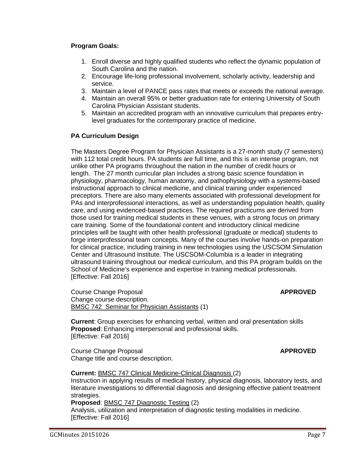# **Program Goals:**

- 1. Enroll diverse and highly qualified students who reflect the dynamic population of South Carolina and the nation.
- 2. Encourage life-long professional involvement, scholarly activity, leadership and service.
- 3. Maintain a level of PANCE pass rates that meets or exceeds the national average.
- 4. Maintain an overall 95% or better graduation rate for entering University of South Carolina Physician Assistant students.
- 5. Maintain an accredited program with an innovative curriculum that prepares entrylevel graduates for the contemporary practice of medicine.

# **PA Curriculum Design**

The Masters Degree Program for Physician Assistants is a 27-month study (7 semesters) with 112 total credit hours. PA students are full time, and this is an intense program, not unlike other PA programs throughout the nation in the number of credit hours or length. The 27 month curricular plan includes a strong basic science foundation in physiology, pharmacology, human anatomy, and pathophysiology with a systems-based instructional approach to clinical medicine, and clinical training under experienced preceptors. There are also many elements associated with professional development for PAs and interprofessional interactions, as well as understanding population health, quality care, and using evidenced-based practices. The required practicums are derived from those used for training medical students in these venues, with a strong focus on primary care training. Some of the foundational content and introductory clinical medicine principles will be taught with other health professional (graduate or medical) students to forge interprofessional team concepts. Many of the courses involve hands-on preparation for clinical practice, including training in new technologies using the USCSOM Simulation Center and Ultrasound Institute. The USCSOM-Columbia is a leader in integrating ultrasound training throughout our medical curriculum, and this PA program builds on the School of Medicine's experience and expertise in training medical professionals. [Effective: Fall 2016]

**Course Change Proposal** *APPROVED* Change course description. BMSC 742 Seminar for Physician Assistants (1)

**Current**: Group exercises for enhancing verbal, written and oral presentation skills **Proposed**: Enhancing interpersonal and professional skills. [Effective: Fall 2016]

**Course Change Proposal** *APPROVED* Change title and course description.

#### **Current:** BMSC 747 Clinical Medicine-Clinical Diagnosis (2)

Instruction in applying results of medical history, physical diagnosis, laboratory tests, and literature investigations to differential diagnosis and designing effective patient treatment strategies.

#### **Proposed**: BMSC 747 Diagnostic Testing (2)

Analysis, utilization and interpretation of diagnostic testing modalities in medicine. [Effective: Fall 2016]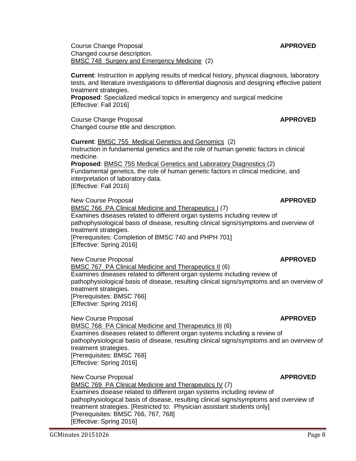Course Change Proposal **APPROVED** Changed course description. BMSC 748 Surgery and Emergency Medicine (2)

**Current**: Instruction in applying results of medical history, physical diagnosis, laboratory tests, and literature investigations to differential diagnosis and designing effective patient treatment strategies.

**Proposed**: Specialized medical topics in emergency and surgical medicine [Effective: Fall 2016]

**Course Change Proposal** *APPROVED* Changed course title and description.

**Current**: BMSC 755 Medical Genetics and Genomics (2) Instruction in fundamental genetics and the role of human genetic factors in clinical medicine. **Proposed**: BMSC 755 Medical Genetics and Laboratory Diagnostics (2)

Fundamental genetics, the role of human genetic factors in clinical medicine, and interpretation of laboratory data.

[Effective: Fall 2016]

New Course Proposal **APPROVED** BMSC 766 PA Clinical Medicine and Therapeutics I (7) Examines diseases related to different organ systems including review of pathophysiological basis of disease, resulting clinical signs/symptoms and overview of treatment strategies. [Prerequisites: Completion of BMSC 740 and PHPH 701] [Effective: Spring 2016]

New Course Proposal **APPROVED** BMSC 767 PA Clinical Medicine and Therapeutics II (6) Examines diseases related to different organ systems including review of pathophysiological basis of disease, resulting clinical signs/symptoms and an overview of treatment strategies. [Prerequisites: BMSC 766] [Effective: Spring 2016]

New Course Proposal **APPROVED** BMSC 768 PA Clinical Medicine and Therapeutics III (6) Examines diseases related to different organ systems including a review of pathophysiological basis of disease, resulting clinical signs/symptoms and an overview of treatment strategies. [Prerequisites: BMSC 768] [Effective: Spring 2016]

New Course Proposal **APPROVED** BMSC 769 PA Clinical Medicine and Therapeutics IV (7) Examines disease related to different organ systems including review of pathophysiological basis of disease, resulting clinical signs/symptoms and overview of treatment strategies. [Restricted to: Physician assistant students only] [Prerequisites: BMSC 766, 767, 768] [Effective: Spring 2016]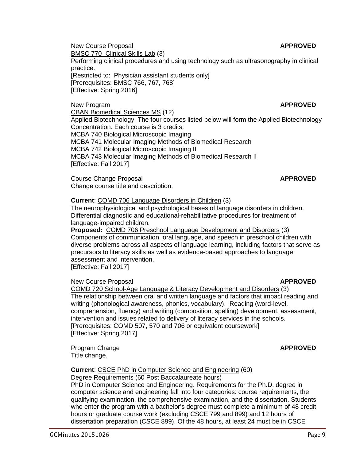New Course Proposal **APPROVED**

BMSC 770 Clinical Skills Lab (3)

Performing clinical procedures and using technology such as ultrasonography in clinical practice.

[Restricted to: Physician assistant students only] [Prerequisites: BMSC 766, 767, 768] [Effective: Spring 2016]

# New Program **APPROVED**

CBAN Biomedical Sciences MS (12)

Applied Biotechnology. The four courses listed below will form the Applied Biotechnology Concentration. Each course is 3 credits.

MCBA 740 Biological Microscopic Imaging MCBA 741 Molecular Imaging Methods of Biomedical Research MCBA 742 Biological Microscopic Imaging II MCBA 743 Molecular Imaging Methods of Biomedical Research II [Effective: Fall 2017]

**Course Change Proposal** *APPROVED* Change course title and description.

### **Current**: COMD 706 Language Disorders in Children (3)

The neurophysiological and psychological bases of language disorders in children. Differential diagnostic and educational-rehabilitative procedures for treatment of language-impaired children.

**Proposed:** COMD 706 Preschool Language Development and Disorders (3) Components of communication, oral language, and speech in preschool children with diverse problems across all aspects of language learning, including factors that serve as precursors to literacy skills as well as evidence-based approaches to language assessment and intervention.

[Effective: Fall 2017]

New Course Proposal **APPROVED** 

COMD 720 School-Age Language & Literacy Development and Disorders (3) The relationship between oral and written language and factors that impact reading and writing (phonological awareness, phonics, vocabulary). Reading (word-level, comprehension, fluency) and writing (composition, spelling) development, assessment, intervention and issues related to delivery of literacy services in the schools. [Prerequisites: COMD 507, 570 and 706 or equivalent coursework] [Effective: Spring 2017]

Program Change **APPROVED** Title change.

**Current**: CSCE PhD in Computer Science and Engineering (60)

Degree Requirements (60 Post Baccalaureate hours) PhD in Computer Science and Engineering. Requirements for the Ph.D. degree in computer science and engineering fall into four categories: course requirements, the qualifying examination, the comprehensive examination, and the dissertation. Students who enter the program with a bachelor's degree must complete a minimum of 48 credit hours or graduate course work (excluding CSCE 799 and 899) and 12 hours of dissertation preparation (CSCE 899). Of the 48 hours, at least 24 must be in CSCE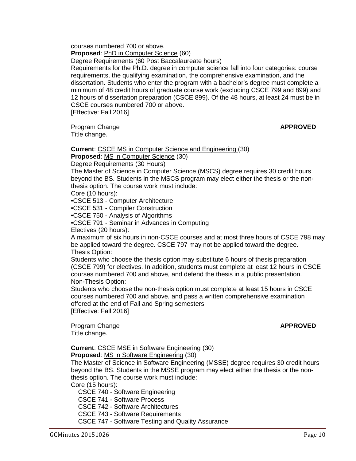courses numbered 700 or above.

**Proposed**: PhD in Computer Science (60)

Degree Requirements (60 Post Baccalaureate hours)

Requirements for the Ph.D. degree in computer science fall into four categories: course requirements, the qualifying examination, the comprehensive examination, and the dissertation. Students who enter the program with a bachelor's degree must complete a minimum of 48 credit hours of graduate course work (excluding CSCE 799 and 899) and 12 hours of dissertation preparation (CSCE 899). Of the 48 hours, at least 24 must be in CSCE courses numbered 700 or above.

[Effective: Fall 2016]

**Program Change <b>APPROVED APPROVED** Title change.

**Current**: CSCE MS in Computer Science and Engineering (30)

**Proposed**: MS in Computer Science (30)

Degree Requirements (30 Hours)

The Master of Science in Computer Science (MSCS) degree requires 30 credit hours beyond the BS. Students in the MSCS program may elect either the thesis or the nonthesis option. The course work must include:

Core (10 hours):

•CSCE 513 - Computer Architecture

•CSCE 531 - Compiler Construction

•CSCE 750 - Analysis of Algorithms

•CSCE 791 - Seminar in Advances in Computing

Electives (20 hours):

A maximum of six hours in non-CSCE courses and at most three hours of CSCE 798 may be applied toward the degree. CSCE 797 may not be applied toward the degree. Thesis Option:

Students who choose the thesis option may substitute 6 hours of thesis preparation (CSCE 799) for electives. In addition, students must complete at least 12 hours in CSCE courses numbered 700 and above, and defend the thesis in a public presentation. Non-Thesis Option:

Students who choose the non-thesis option must complete at least 15 hours in CSCE courses numbered 700 and above, and pass a written comprehensive examination offered at the end of Fall and Spring semesters [Effective: Fall 2016]

Program Change **APPROVED** Title change.

**Current**: CSCE MSE in Software Engineering (30)

**Proposed**: MS in Software Engineering (30)

The Master of Science in Software Engineering (MSSE) degree requires 30 credit hours beyond the BS. Students in the MSSE program may elect either the thesis or the nonthesis option. The course work must include: Core (15 hours):

CSCE 740 - Software Engineering

CSCE 741 - Software Process

CSCE 742 - Software Architectures

CSCE 743 - Software Requirements

CSCE 747 - Software Testing and Quality Assurance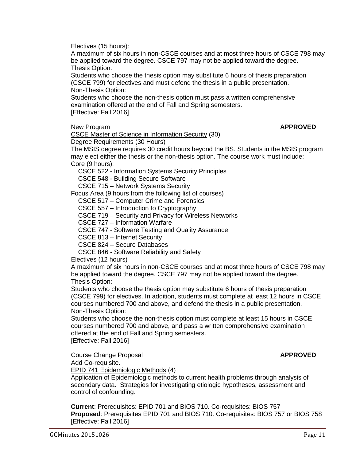Electives (15 hours):

A maximum of six hours in non-CSCE courses and at most three hours of CSCE 798 may be applied toward the degree. CSCE 797 may not be applied toward the degree. Thesis Option:

Students who choose the thesis option may substitute 6 hours of thesis preparation (CSCE 799) for electives and must defend the thesis in a public presentation. Non-Thesis Option:

Students who choose the non-thesis option must pass a written comprehensive examination offered at the end of Fall and Spring semesters. [Effective: Fall 2016]

New Program **APPROVED**

CSCE Master of Science in Information Security (30)

Degree Requirements (30 Hours)

The MSIS degree requires 30 credit hours beyond the BS. Students in the MSIS program may elect either the thesis or the non-thesis option. The course work must include: Core (9 hours):

CSCE 522 - Information Systems Security Principles

CSCE 548 - Building Secure Software

CSCE 715 – Network Systems Security

Focus Area (9 hours from the following list of courses)

CSCE 517 – Computer Crime and Forensics

CSCE 557 – Introduction to Cryptography

CSCE 719 – Security and Privacy for Wireless Networks

CSCE 727 – Information Warfare

CSCE 747 - Software Testing and Quality Assurance

CSCE 813 – Internet Security

CSCE 824 – Secure Databases

CSCE 846 - Software Reliability and Safety

Electives (12 hours)

A maximum of six hours in non-CSCE courses and at most three hours of CSCE 798 may be applied toward the degree. CSCE 797 may not be applied toward the degree. Thesis Option:

Students who choose the thesis option may substitute 6 hours of thesis preparation (CSCE 799) for electives. In addition, students must complete at least 12 hours in CSCE courses numbered 700 and above, and defend the thesis in a public presentation. Non-Thesis Option:

Students who choose the non-thesis option must complete at least 15 hours in CSCE courses numbered 700 and above, and pass a written comprehensive examination offered at the end of Fall and Spring semesters. [Effective: Fall 2016]

Course Change Proposal **APPROVED** 

Add Co-requisite.

EPID 741 Epidemiologic Methods (4)

Application of Epidemiologic methods to current health problems through analysis of secondary data. Strategies for investigating etiologic hypotheses, assessment and control of confounding.

**Current**: Prerequisites: EPID 701 and BIOS 710. Co-requisites: BIOS 757 **Proposed**: Prerequisites EPID 701 and BIOS 710. Co-requisites: BIOS 757 or BIOS 758 [Effective: Fall 2016]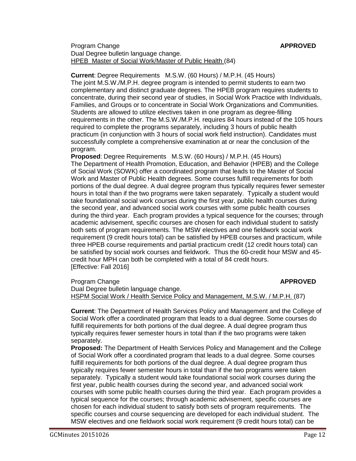#### **Program Change**  APPROVED **APPROVED** Dual Degree bulletin language change. HPEB Master of Social Work/Master of Public Health (84)

**Current**: Degree Requirements M.S.W. (60 Hours) / M.P.H. (45 Hours) The joint M.S.W./M.P.H. degree program is intended to permit students to earn two complementary and distinct graduate degrees. The HPEB program requires students to concentrate, during their second year of studies, in Social Work Practice with Individuals, Families, and Groups or to concentrate in Social Work Organizations and Communities. Students are allowed to utilize electives taken in one program as degree-filling requirements in the other. The M.S.W./M.P.H. requires 84 hours instead of the 105 hours required to complete the programs separately, including 3 hours of public health practicum (in conjunction with 3 hours of social work field instruction). Candidates must successfully complete a comprehensive examination at or near the conclusion of the program.

**Proposed**: Degree Requirements M.S.W. (60 Hours) / M.P.H. (45 Hours) The Department of Health Promotion, Education, and Behavior (HPEB) and the College of Social Work (SOWK) offer a coordinated program that leads to the Master of Social Work and Master of Public Health degrees. Some courses fulfill requirements for both portions of the dual degree. A dual degree program thus typically requires fewer semester hours in total than if the two programs were taken separately. Typically a student would take foundational social work courses during the first year, public health courses during the second year, and advanced social work courses with some public health courses during the third year. Each program provides a typical sequence for the courses; through academic advisement, specific courses are chosen for each individual student to satisfy both sets of program requirements. The MSW electives and one fieldwork social work requirement (9 credit hours total) can be satisfied by HPEB courses and practicum, while three HPEB course requirements and partial practicum credit (12 credit hours total) can be satisfied by social work courses and fieldwork. Thus the 60-credit hour MSW and 45 credit hour MPH can both be completed with a total of 84 credit hours. [Effective: Fall 2016]

**Program Change**  APPROVED **APPROVED** Dual Degree bulletin language change. HSPM Social Work / Health Service Policy and Management, M.S.W. / M.P.H. (87)

**Current**: The Department of Health Services Policy and Management and the College of Social Work offer a coordinated program that leads to a dual degree. Some courses do fulfill requirements for both portions of the dual degree. A dual degree program thus typically requires fewer semester hours in total than if the two programs were taken separately.

**Proposed:** The Department of Health Services Policy and Management and the College of Social Work offer a coordinated program that leads to a dual degree. Some courses fulfill requirements for both portions of the dual degree. A dual degree program thus typically requires fewer semester hours in total than if the two programs were taken separately. Typically a student would take foundational social work courses during the first year, public health courses during the second year, and advanced social work courses with some public health courses during the third year. Each program provides a typical sequence for the courses; through academic advisement, specific courses are chosen for each individual student to satisfy both sets of program requirements. The specific courses and course sequencing are developed for each individual student. The MSW electives and one fieldwork social work requirement (9 credit hours total) can be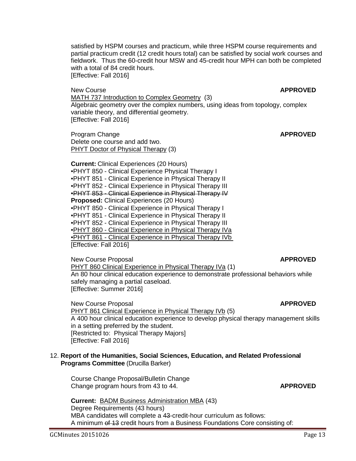satisfied by HSPM courses and practicum, while three HSPM course requirements and partial practicum credit (12 credit hours total) can be satisfied by social work courses and fieldwork. Thus the 60-credit hour MSW and 45-credit hour MPH can both be completed with a total of 84 credit hours. [Effective: Fall 2016]

### New Course **APPROVED**

MATH 737 Introduction to Complex Geometry (3) Algebraic geometry over the complex numbers, using ideas from topology, complex variable theory, and differential geometry. [Effective: Fall 2016]

**Program Change <b>APPROVED** Delete one course and add two. PHYT Doctor of Physical Therapy (3)

**Current:** Clinical Experiences (20 Hours) •PHYT 850 - Clinical Experience Physical Therapy I •PHYT 851 - Clinical Experience in Physical Therapy II •PHYT 852 - Clinical Experience in Physical Therapy III •PHYT 853 - Clinical Experience in Physical Therapy IV **Proposed:** Clinical Experiences (20 Hours) •PHYT 850 - Clinical Experience in Physical Therapy I •PHYT 851 - Clinical Experience in Physical Therapy II •PHYT 852 - Clinical Experience in Physical Therapy III •PHYT 860 - Clinical Experience in Physical Therapy IVa •PHYT 861 - Clinical Experience in Physical Therapy IVb [Effective: Fall 2016]

New Course Proposal **APPROVED**

PHYT 860 Clinical Experience in Physical Therapy IVa (1) An 80 hour clinical education experience to demonstrate professional behaviors while safely managing a partial caseload. [Effective: Summer 2016]

New Course Proposal **APPROVED** PHYT 861 Clinical Experience in Physical Therapy IVb (5) A 400 hour clinical education experience to develop physical therapy management skills in a setting preferred by the student. [Restricted to: Physical Therapy Majors] [Effective: Fall 2016]

### 12. **Report of the Humanities, Social Sciences, Education, and Related Professional Programs Committee** (Drucilla Barker)

Course Change Proposal/Bulletin Change Change program hours from 43 to 44. **APPROVED** 

**Current:** BADM Business Administration MBA (43) Degree Requirements (43 hours) MBA candidates will complete a 43-credit-hour curriculum as follows: A minimum of 13 credit hours from a Business Foundations Core consisting of: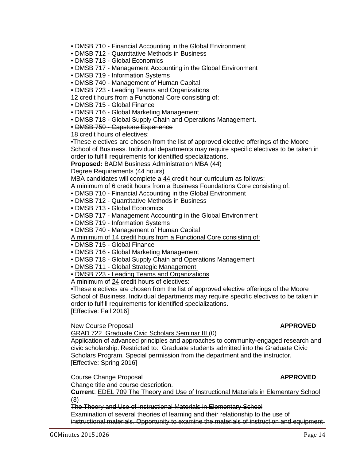• DMSB 710 - Financial Accounting in the Global Environment

- DMSB 712 Quantitative Methods in Business
- DMSB 713 Global Economics
- DMSB 717 Management Accounting in the Global Environment
- DMSB 719 Information Systems
- DMSB 740 Management of Human Capital
- DMSB 723 Leading Teams and Organizations

12 credit hours from a Functional Core consisting of:

- DMSB 715 Global Finance
- DMSB 716 Global Marketing Management
- DMSB 718 Global Supply Chain and Operations Management.
- DMSB 750 Capstone Experience

18 credit hours of electives:

•These electives are chosen from the list of approved elective offerings of the Moore School of Business. Individual departments may require specific electives to be taken in order to fulfill requirements for identified specializations.

**Proposed:** BADM Business Administration MBA (44)

Degree Requirements (44 hours)

MBA candidates will complete a 44 credit hour curriculum as follows:

A minimum of 6 credit hours from a Business Foundations Core consisting of:

- DMSB 710 Financial Accounting in the Global Environment
- DMSB 712 Quantitative Methods in Business
- DMSB 713 Global Economics
- DMSB 717 Management Accounting in the Global Environment
- DMSB 719 Information Systems
- DMSB 740 Management of Human Capital

A minimum of 14 credit hours from a Functional Core consisting of:

- DMSB 715 Global Finance
- DMSB 716 Global Marketing Management
- DMSB 718 Global Supply Chain and Operations Management
- DMSB 711 Global Strategic Management
- DMSB 723 Leading Teams and Organizations

A minimum of 24 credit hours of electives:

•These electives are chosen from the list of approved elective offerings of the Moore School of Business. Individual departments may require specific electives to be taken in order to fulfill requirements for identified specializations. [Effective: Fall 2016]

New Course Proposal **APPROVED** 

# GRAD 722 Graduate Civic Scholars Seminar III (0)

Application of advanced principles and approaches to community-engaged research and civic scholarship. Restricted to: Graduate students admitted into the Graduate Civic Scholars Program. Special permission from the department and the instructor. [Effective: Spring 2016]

**Course Change Proposal** *APPROVED* 

Change title and course description.

**Current**: EDEL 709 The Theory and Use of Instructional Materials in Elementary School (3)

The Theory and Use of Instructional Materials in Elementary School Examination of several theories of learning and their relationship to the use of instructional materials. Opportunity to examine the materials of instruction and equipment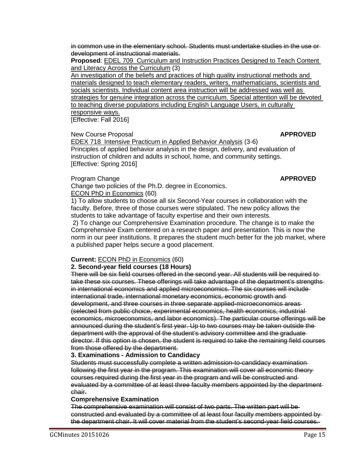in common use in the elementary school. Students must undertake studies in the use or development of instructional materials.

**Proposed**: EDEL 709 Curriculum and Instruction Practices Designed to Teach Content and Literacy Across the Curriculum (3)

An investigation of the beliefs and practices of high quality instructional methods and materials designed to teach elementary readers, writers, mathematicians, scientists and socials scientists. Individual content area instruction will be addressed was well as strategies for genuine integration across the curriculum. Special attention will be devoted to teaching diverse populations including English Language Users, in culturally responsive ways.

[Effective: Fall 2016]

#### New Course Proposal **APPROVED**

EDEX 718 Intensive Practicum in Applied Behavior Analysis (3-6) Principles of applied behavior analysis in the design, delivery, and evaluation of instruction of children and adults in school, home, and community settings. [Effective: Spring 2016]

### Program Change **APPROVED**

Change two policies of the Ph.D. degree in Economics. ECON PhD in Economics (60)

1) To allow students to choose all six Second-Year courses in collaboration with the faculty. Before, three of those courses were stipulated. The new policy allows the students to take advantage of faculty expertise and their own interests.

2) To change our Comprehensive Examination procedure. The change is to make the Comprehensive Exam centered on a research paper and presentation. This is now the norm in our peer institutions. It prepares the student much better for the job market, where a published paper helps secure a good placement.

### **Current:** ECON PhD in Economics (60)

**2. Second-year field courses (18 Hours)**

There will be six field courses offered in the second year. All students will be required to take these six courses. These offerings will take advantage of the department's strengths in international economics and applied microeconomics. The six courses will include international trade, international monetary economics, economic growth and development, and three courses in three separate applied-microeconomics areas (selected from public choice, experimental economics, health economics, industrial economics, microeconomics, and labor economics). The particular course offerings will be announced during the student's first year. Up to two courses may be taken outside the department with the approval of the student's advisory committee and the graduate director. If this option is chosen, the student is required to take the remaining field courses from those offered by the department.

### **3. Examinations - Admission to Candidacy**

Students must successfully complete a written admission-to-candidacy examination following the first year in the program. This examination will cover all economic theorycourses required during the first year in the program and will be constructed and evaluated by a committee of at least three faculty members appointed by the department chair.

### **Comprehensive Examination**

The comprehensive examination will consist of two parts. The written part will be constructed and evaluated by a committee of at least four faculty members appointed by the department chair. It will cover material from the student's second-year field courses.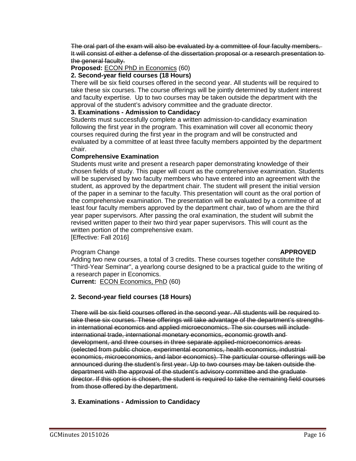The oral part of the exam will also be evaluated by a committee of four faculty members. It will consist of either a defense of the dissertation proposal or a research presentation to the general faculty.

**Proposed:** ECON PhD in Economics (60)

# **2. Second-year field courses (18 Hours)**

There will be six field courses offered in the second year. All students will be required to take these six courses. The course offerings will be jointly determined by student interest and faculty expertise. Up to two courses may be taken outside the department with the approval of the student's advisory committee and the graduate director.

### **3. Examinations - Admission to Candidacy**

Students must successfully complete a written admission-to-candidacy examination following the first year in the program. This examination will cover all economic theory courses required during the first year in the program and will be constructed and evaluated by a committee of at least three faculty members appointed by the department chair.

### **Comprehensive Examination**

Students must write and present a research paper demonstrating knowledge of their chosen fields of study. This paper will count as the comprehensive examination. Students will be supervised by two faculty members who have entered into an agreement with the student, as approved by the department chair. The student will present the initial version of the paper in a seminar to the faculty. This presentation will count as the oral portion of the comprehensive examination. The presentation will be evaluated by a committee of at least four faculty members approved by the department chair, two of whom are the third year paper supervisors. After passing the oral examination, the student will submit the revised written paper to their two third year paper supervisors. This will count as the written portion of the comprehensive exam. [Effective: Fall 2016]

### **Program Change <b>APPROVED APPROVED**

Adding two new courses, a total of 3 credits. These courses together constitute the "Third-Year Seminar", a yearlong course designed to be a practical guide to the writing of a research paper in Economics.

**Current:** ECON Economics, PhD (60)

# **2. Second-year field courses (18 Hours)**

There will be six field courses offered in the second year. All students will be required to take these six courses. These offerings will take advantage of the department's strengths in international economics and applied microeconomics. The six courses will include international trade, international monetary economics, economic growth and development, and three courses in three separate applied-microeconomics areas (selected from public choice, experimental economics, health economics, industrial economics, microeconomics, and labor economics). The particular course offerings will be announced during the student's first year. Up to two courses may be taken outside the department with the approval of the student's advisory committee and the graduate director. If this option is chosen, the student is required to take the remaining field courses from those offered by the department.

### **3. Examinations - Admission to Candidacy**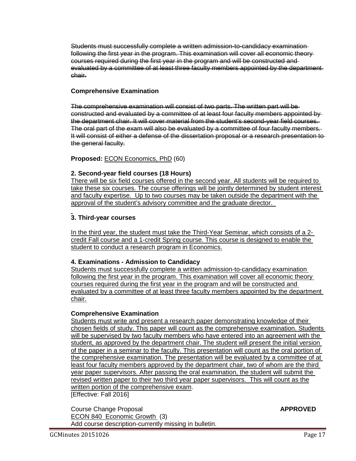Students must successfully complete a written admission-to-candidacy examination following the first year in the program. This examination will cover all economic theorycourses required during the first year in the program and will be constructed and evaluated by a committee of at least three faculty members appointed by the department chair.

### **Comprehensive Examination**

The comprehensive examination will consist of two parts. The written part will be constructed and evaluated by a committee of at least four faculty members appointed by the department chair. It will cover material from the student's second-year field courses. The oral part of the exam will also be evaluated by a committee of four faculty members. It will consist of either a defense of the dissertation proposal or a research presentation to the general faculty.

### **Proposed:** ECON Economics, PhD (60)

### **2. Second-year field courses (18 Hours)**

There will be six field courses offered in the second year. All students will be required to take these six courses. The course offerings will be jointly determined by student interest and faculty expertise. Up to two courses may be taken outside the department with the approval of the student's advisory committee and the graduate director.

### **3. Third-year courses**

In the third year, the student must take the Third-Year Seminar, which consists of a 2 credit Fall course and a 1-credit Spring course. This course is designed to enable the student to conduct a research program in Economics.

#### **4. Examinations - Admission to Candidacy**

Students must successfully complete a written admission-to-candidacy examination following the first year in the program. This examination will cover all economic theory courses required during the first year in the program and will be constructed and evaluated by a committee of at least three faculty members appointed by the department chair.

#### **Comprehensive Examination**

Students must write and present a research paper demonstrating knowledge of their chosen fields of study. This paper will count as the comprehensive examination. Students will be supervised by two faculty members who have entered into an agreement with the student, as approved by the department chair. The student will present the initial version of the paper in a seminar to the faculty. This presentation will count as the oral portion of the comprehensive examination. The presentation will be evaluated by a committee of at least four faculty members approved by the department chair, two of whom are the third year paper supervisors. After passing the oral examination, the student will submit the revised written paper to their two third year paper supervisors. This will count as the written portion of the comprehensive exam. [Effective: Fall 2016]

Course Change Proposal **APPROVED** ECON 840 Economic Growth (3) Add course description-currently missing in bulletin.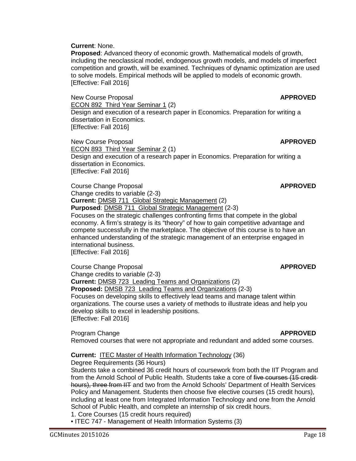competition and growth, will be examined. Techniques of dynamic optimization are used

**Current**: None.

to solve models. Empirical methods will be applied to models of economic growth. [Effective: Fall 2016]

ECON 892 Third Year Seminar 1 (2) Design and execution of a research paper in Economics. Preparation for writing a dissertation in Economics. [Effective: Fall 2016]

New Course Proposal **APPROVED** ECON 893 Third Year Seminar 2 (1) Design and execution of a research paper in Economics. Preparation for writing a dissertation in Economics. [Effective: Fall 2016]

**Course Change Proposal** *APPROVED* Change credits to variable (2-3) **Current:** DMSB 711 Global Strategic Management (2) **Purposed**: DMSB 711 Global Strategic Management (2-3) Focuses on the strategic challenges confronting firms that compete in the global economy. A firm's strategy is its "theory" of how to gain competitive advantage and

compete successfully in the marketplace. The objective of this course is to have an enhanced understanding of the strategic management of an enterprise engaged in international business.

[Effective: Fall 2016]

**Course Change Proposal** *APPROVED* Change credits to variable (2-3) **Current:** DMSB 723 Leading Teams and Organizations (2) **Proposed:** DMSB 723 Leading Teams and Organizations (2-3) Focuses on developing skills to effectively lead teams and manage talent within organizations. The course uses a variety of methods to illustrate ideas and help you develop skills to excel in leadership positions. [Effective: Fall 2016]

**Program Change <b>APPROVED APPROVED** Removed courses that were not appropriate and redundant and added some courses.

**Current:** ITEC Master of Health Information Technology (36)

Degree Requirements (36 Hours)

Students take a combined 36 credit hours of coursework from both the IIT Program and from the Arnold School of Public Health. Students take a core of five courses (15 credithours), three from IIT and two from the Arnold Schools' Department of Health Services Policy and Management. Students then choose five elective courses (15 credit hours), including at least one from Integrated Information Technology and one from the Arnold School of Public Health, and complete an internship of six credit hours.

1. Core Courses (15 credit hours required)

• ITEC 747 - Management of Health Information Systems (3)

#### **Proposed**: Advanced theory of economic growth. Mathematical models of growth, including the neoclassical model, endogenous growth models, and models of imperfect

New Course Proposal **APPROVED**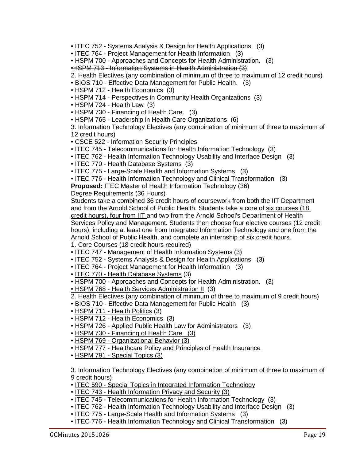- ITEC 752 Systems Analysis & Design for Health Applications (3)
- ITEC 764 Project Management for Health Information (3)
- HSPM 700 Approaches and Concepts for Health Administration. (3)

•HSPM 713 - Information Systems in Health Administration (3)

- 2. Health Electives (any combination of minimum of three to maximum of 12 credit hours)
- BIOS 710 Effective Data Management for Public Health. (3)
- HSPM 712 Health Economics (3)
- HSPM 714 Perspectives in Community Health Organizations (3)
- HSPM 724 Health Law (3)
- HSPM 730 Financing of Health Care. (3)
- HSPM 765 Leadership in Health Care Organizations (6)

3. Information Technology Electives (any combination of minimum of three to maximum of 12 credit hours)

- CSCE 522 Information Security Principles
- ITEC 745 Telecommunications for Health Information Technology (3)
- ITEC 762 Health Information Technology Usability and Interface Design (3)
- ITEC 770 Health Database Systems (3)
- ITEC 775 Large-Scale Health and Information Systems (3)
- ITEC 776 Health Information Technology and Clinical Transformation (3)

**Proposed:** ITEC Master of Health Information Technology (36)

Degree Requirements (36 Hours)

Students take a combined 36 credit hours of coursework from both the IIT Department and from the Arnold School of Public Health. Students take a core of six courses (18 credit hours), four from IIT and two from the Arnold School's Department of Health Services Policy and Management. Students then choose four elective courses (12 credit hours), including at least one from Integrated Information Technology and one from the Arnold School of Public Health, and complete an internship of six credit hours.

- 1. Core Courses (18 credit hours required)
- ITEC 747 Management of Health Information Systems (3)
- ITEC 752 Systems Analysis & Design for Health Applications (3)
- ITEC 764 Project Management for Health Information (3)
- ITEC 770 Health Database Systems (3)
- HSPM 700 Approaches and Concepts for Health Administration. (3)
- HSPM 768 Health Services Administration II (3)
- 2. Health Electives (any combination of minimum of three to maximum of 9 credit hours)
- BIOS 710 Effective Data Management for Public Health (3)
- HSPM 711 Health Politics (3)
- HSPM 712 Health Economics (3)
- HSPM 726 Applied Public Health Law for Administrators (3)
- HSPM 730 Financing of Health Care (3)
- HSPM 769 Organizational Behavior (3)
- HSPM 777 Healthcare Policy and Principles of Health Insurance
- HSPM 791 Special Topics (3)

3. Information Technology Electives (any combination of minimum of three to maximum of 9 credit hours)

- ITEC 590 Special Topics in Integrated Information Technology
- ITEC 743 Health Information Privacy and Security (3)
- ITEC 745 Telecommunications for Health Information Technology (3)
- ITEC 762 Health Information Technology Usability and Interface Design (3)
- ITEC 775 Large-Scale Health and Information Systems (3)
- ITEC 776 Health Information Technology and Clinical Transformation (3)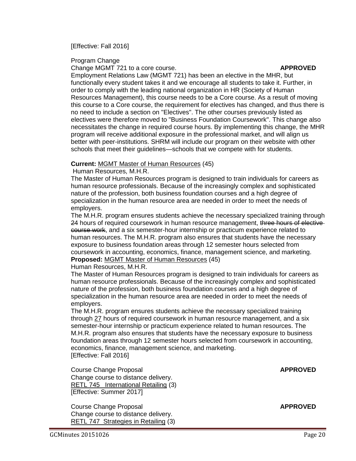**Course Change Proposal** *APPROVED* Change course to distance delivery. RETL 745 International Retailing (3) [Effective: Summer 2017]

Course Change Proposal **APPROVED** Change course to distance delivery. RETL 747 Strategies in Retailing (3)

[Effective: Fall 2016]

# Program Change

Change MGMT 721 to a core course. **APPROVED**

Employment Relations Law (MGMT 721) has been an elective in the MHR, but functionally every student takes it and we encourage all students to take it. Further, in order to comply with the leading national organization in HR (Society of Human Resources Management), this course needs to be a Core course. As a result of moving this course to a Core course, the requirement for electives has changed, and thus there is no need to include a section on "Electives". The other courses previously listed as electives were therefore moved to "Business Foundation Coursework". This change also necessitates the change in required course hours. By implementing this change, the MHR program will receive additional exposure in the professional market, and will align us better with peer-institutions. SHRM will include our program on their website with other schools that meet their guidelines—schools that we compete with for students.

# **Current:** MGMT Master of Human Resources (45)

# Human Resources, M.H.R.

The Master of Human Resources program is designed to train individuals for careers as human resource professionals. Because of the increasingly complex and sophisticated nature of the profession, both business foundation courses and a high degree of specialization in the human resource area are needed in order to meet the needs of employers.

The M.H.R. program ensures students achieve the necessary specialized training through 24 hours of required coursework in human resource management, three hours of elective course work, and a six semester-hour internship or practicum experience related to human resources. The M.H.R. program also ensures that students have the necessary exposure to business foundation areas through 12 semester hours selected from coursework in accounting, economics, finance, management science, and marketing. **Proposed:** MGMT Master of Human Resources (45)

# Human Resources, M.H.R.

The Master of Human Resources program is designed to train individuals for careers as human resource professionals. Because of the increasingly complex and sophisticated nature of the profession, both business foundation courses and a high degree of specialization in the human resource area are needed in order to meet the needs of employers.

The M.H.R. program ensures students achieve the necessary specialized training through 27 hours of required coursework in human resource management, and a six semester-hour internship or practicum experience related to human resources. The M.H.R. program also ensures that students have the necessary exposure to business foundation areas through 12 semester hours selected from coursework in accounting, economics, finance, management science, and marketing. [Effective: Fall 2016]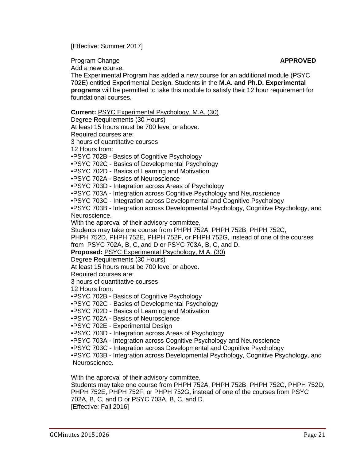[Effective: Summer 2017]

Program Change **APPROVED**

Add a new course.

The Experimental Program has added a new course for an additional module (PSYC 702E) entitled Experimental Design. Students in the **M.A. and Ph.D. Experimental programs** will be permitted to take this module to satisfy their 12 hour requirement for foundational courses.

**Current:** PSYC Experimental Psychology, M.A. (30)

Degree Requirements (30 Hours)

At least 15 hours must be 700 level or above.

Required courses are:

3 hours of quantitative courses

12 Hours from:

•PSYC 702B - Basics of Cognitive Psychology

•PSYC 702C - Basics of Developmental Psychology

•PSYC 702D - Basics of Learning and Motivation

•PSYC 702A - Basics of Neuroscience

•PSYC 703D - Integration across Areas of Psychology

•PSYC 703A - Integration across Cognitive Psychology and Neuroscience

•PSYC 703C - Integration across Developmental and Cognitive Psychology

•PSYC 703B - Integration across Developmental Psychology, Cognitive Psychology, and Neuroscience.

With the approval of their advisory committee,

Students may take one course from PHPH 752A, PHPH 752B, PHPH 752C,

PHPH 752D, PHPH 752E, PHPH 752F, or PHPH 752G, instead of one of the courses from PSYC 702A, B, C, and D or PSYC 703A, B, C, and D.

**Proposed:** PSYC Experimental Psychology, M.A. (30)

Degree Requirements (30 Hours)

At least 15 hours must be 700 level or above.

Required courses are:

3 hours of quantitative courses

12 Hours from:

•PSYC 702B - Basics of Cognitive Psychology

•PSYC 702C - Basics of Developmental Psychology

•PSYC 702D - Basics of Learning and Motivation

•PSYC 702A - Basics of Neuroscience

•PSYC 702E - Experimental Design

•PSYC 703D - Integration across Areas of Psychology

•PSYC 703A - Integration across Cognitive Psychology and Neuroscience

•PSYC 703C - Integration across Developmental and Cognitive Psychology

•PSYC 703B - Integration across Developmental Psychology, Cognitive Psychology, and Neuroscience.

With the approval of their advisory committee,

Students may take one course from PHPH 752A, PHPH 752B, PHPH 752C, PHPH 752D, PHPH 752E, PHPH 752F, or PHPH 752G, instead of one of the courses from PSYC 702A, B, C, and D or PSYC 703A, B, C, and D. [Effective: Fall 2016]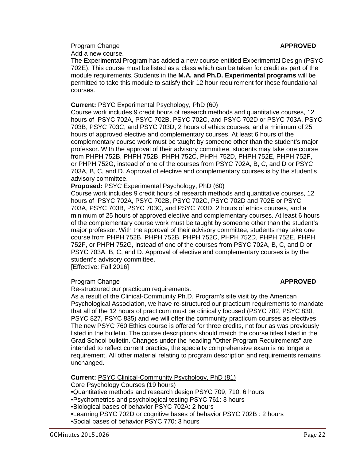**Program Change**  APPROVED **APPROVED** 

Add a new course.

The Experimental Program has added a new course entitled Experimental Design (PSYC 702E). This course must be listed as a class which can be taken for credit as part of the module requirements. Students in the **M.A. and Ph.D. Experimental programs** will be permitted to take this module to satisfy their 12 hour requirement for these foundational courses.

# **Current:** PSYC Experimental Psychology, PhD (60)

Course work includes 9 credit hours of research methods and quantitative courses, 12 hours of [PSYC 702A,](http://bulletin.sc.edu/preview_program.php?catoid=90&poid=8209&returnto=11038#tt6715) [PSYC 702B,](http://bulletin.sc.edu/preview_program.php?catoid=90&poid=8209&returnto=11038#tt2863) [PSYC 702C,](http://bulletin.sc.edu/preview_program.php?catoid=90&poid=8209&returnto=11038#tt4466) and [PSYC 702D](http://bulletin.sc.edu/preview_program.php?catoid=90&poid=8209&returnto=11038#tt7290) or [PSYC 703A,](http://bulletin.sc.edu/preview_program.php?catoid=90&poid=8209&returnto=11038#tt6674) [PSYC](http://bulletin.sc.edu/preview_program.php?catoid=90&poid=8209&returnto=11038#tt5800)  [703B,](http://bulletin.sc.edu/preview_program.php?catoid=90&poid=8209&returnto=11038#tt5800) [PSYC 703C,](http://bulletin.sc.edu/preview_program.php?catoid=90&poid=8209&returnto=11038#tt6490) and [PSYC 703D,](http://bulletin.sc.edu/preview_program.php?catoid=90&poid=8209&returnto=11038#tt2030) 2 hours of ethics courses, and a minimum of 25 hours of approved elective and complementary courses. At least 6 hours of the complementary course work must be taught by someone other than the student's major professor. With the approval of their advisory committee, students may take one course from [PHPH 752B,](http://bulletin.sc.edu/preview_program.php?catoid=90&poid=8209&returnto=11038#tt356) [PHPH 752B,](http://bulletin.sc.edu/preview_program.php?catoid=90&poid=8209&returnto=11038#tt5285) [PHPH 752C,](http://bulletin.sc.edu/preview_program.php?catoid=90&poid=8209&returnto=11038#tt7288) [PHPH 752D,](http://bulletin.sc.edu/preview_program.php?catoid=90&poid=8209&returnto=11038#tt8922) [PHPH 752E,](http://bulletin.sc.edu/preview_program.php?catoid=90&poid=8209&returnto=11038#tt8333) [PHPH 752F,](http://bulletin.sc.edu/preview_program.php?catoid=90&poid=8209&returnto=11038#tt3285) or [PHPH 752G,](http://bulletin.sc.edu/preview_program.php?catoid=90&poid=8209&returnto=11038#tt9681) instead of one of the courses from PSYC 702A, B, C, and D or PSYC 703A, B, C, and D. Approval of elective and complementary courses is by the student's advisory committee.

# **Proposed:** PSYC Experimental Psychology, PhD (60)

Course work includes 9 credit hours of research methods and quantitative courses, 12 hours of [PSYC 702A,](http://bulletin.sc.edu/preview_program.php?catoid=90&poid=8209&returnto=11038#tt6715) [PSYC 702B,](http://bulletin.sc.edu/preview_program.php?catoid=90&poid=8209&returnto=11038#tt2863) [PSYC 702C,](http://bulletin.sc.edu/preview_program.php?catoid=90&poid=8209&returnto=11038#tt4466) [PSYC 702D](http://bulletin.sc.edu/preview_program.php?catoid=90&poid=8209&returnto=11038#tt7290) and 702E or [PSYC](http://bulletin.sc.edu/preview_program.php?catoid=90&poid=8209&returnto=11038#tt6674)  [703A,](http://bulletin.sc.edu/preview_program.php?catoid=90&poid=8209&returnto=11038#tt6674) [PSYC 703B,](http://bulletin.sc.edu/preview_program.php?catoid=90&poid=8209&returnto=11038#tt5800) [PSYC 703C,](http://bulletin.sc.edu/preview_program.php?catoid=90&poid=8209&returnto=11038#tt6490) and [PSYC 703D,](http://bulletin.sc.edu/preview_program.php?catoid=90&poid=8209&returnto=11038#tt2030) 2 hours of ethics courses, and a minimum of 25 hours of approved elective and complementary courses. At least 6 hours of the complementary course work must be taught by someone other than the student's major professor. With the approval of their advisory committee, students may take one course from [PHPH 752B,](http://bulletin.sc.edu/preview_program.php?catoid=90&poid=8209&returnto=11038#tt356) [PHPH 752B,](http://bulletin.sc.edu/preview_program.php?catoid=90&poid=8209&returnto=11038#tt5285) [PHPH 752C,](http://bulletin.sc.edu/preview_program.php?catoid=90&poid=8209&returnto=11038#tt7288) [PHPH 752D,](http://bulletin.sc.edu/preview_program.php?catoid=90&poid=8209&returnto=11038#tt8922) [PHPH 752E,](http://bulletin.sc.edu/preview_program.php?catoid=90&poid=8209&returnto=11038#tt8333) [PHPH](http://bulletin.sc.edu/preview_program.php?catoid=90&poid=8209&returnto=11038#tt3285)  [752F,](http://bulletin.sc.edu/preview_program.php?catoid=90&poid=8209&returnto=11038#tt3285) or [PHPH 752G,](http://bulletin.sc.edu/preview_program.php?catoid=90&poid=8209&returnto=11038#tt9681) instead of one of the courses from PSYC 702A, B, C, and D or PSYC 703A, B, C, and D. Approval of elective and complementary courses is by the student's advisory committee.

[Effective: Fall 2016]

# Program Change **APPROVED**

Re-structured our practicum requirements.

As a result of the Clinical-Community Ph.D. Program's site visit by the American Psychological Association, we have re-structured our practicum requirements to mandate that all of the 12 hours of practicum must be clinically focused (PSYC 782, PSYC 830, PSYC 827, PSYC 835) and we will offer the community practicum courses as electives. The new PSYC 760 Ethics course is offered for three credits, not four as was previously listed in the bulletin. The course descriptions should match the course titles listed in the Grad School bulletin. Changes under the heading "Other Program Requirements" are intended to reflect current practice; the specialty comprehensive exam is no longer a requirement. All other material relating to program description and requirements remains unchanged.

**Current:** PSYC Clinical-Community Psychology, PhD (81)

Core Psychology Courses (19 hours)

•Quantitative methods and research design PSYC 709, 710: 6 hours

•Psychometrics and psychological testing PSYC 761: 3 hours

•Biological bases of behavior PSYC 702A: 2 hours

•Learning PSYC 702D or cognitive bases of behavior PSYC 702B : 2 hours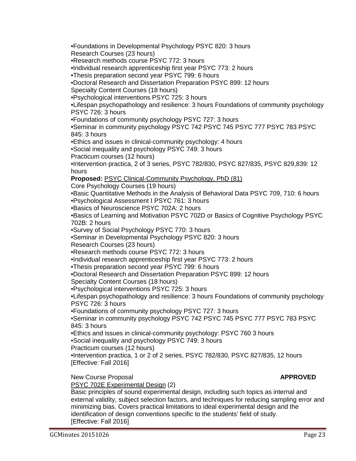•Foundations in Developmental Psychology PSYC 820: 3 hours Research Courses (23 hours)

•Research methods course PSYC 772: 3 hours

•Individual research apprenticeship first year PSYC 773: 2 hours

•Thesis preparation second year PSYC 799: 6 hours

•Doctoral Research and Dissertation Preparation PSYC 899: 12 hours

Specialty Content Courses (18 hours)

•Psychological interventions PSYC 725: 3 hours

•Lifespan psychopathology and resilience: 3 hours Foundations of community psychology PSYC 726: 3 hours

•Foundations of community psychology PSYC 727: 3 hours

•Seminar in community psychology PSYC 742 PSYC 745 PSYC 777 PSYC 783 PSYC 845: 3 hours

•Ethics and issues in clinical-community psychology: 4 hours

•Social inequality and psychology PSYC 749: 3 hours

Practicum courses (12 hours)

•Intervention practica, 2 of 3 series, PSYC 782/830, PSYC 827/835, PSYC 829,839: 12 hours

**Proposed:** PSYC Clinical-Community Psychology, PhD (81)

Core Psychology Courses (19 hours)

•Basic Quantitative Methods in the Analysis of Behavioral Data PSYC 709, 710: 6 hours •Psychological Assessment I PSYC 761: 3 hours

•Basics of Neuroscience PSYC 702A: 2 hours

•Basics of Learning and Motivation PSYC 702D or Basics of Cognitive Psychology PSYC 702B: 2 hours

•Survey of Social Psychology PSYC 770: 3 hours

•Seminar in Developmental Psychology PSYC 820: 3 hours

Research Courses (23 hours)

•Research methods course PSYC 772: 3 hours

•Individual research apprenticeship first year PSYC 773: 2 hours

•Thesis preparation second year PSYC 799: 6 hours

•Doctoral Research and Dissertation Preparation PSYC 899: 12 hours

Specialty Content Courses (18 hours)

•Psychological interventions PSYC 725: 3 hours

•Lifespan psychopathology and resilience: 3 hours Foundations of community psychology PSYC 726: 3 hours

•Foundations of community psychology PSYC 727: 3 hours

•Seminar in community psychology PSYC 742 PSYC 745 PSYC 777 PSYC 783 PSYC 845: 3 hours

•Ethics and issues in clinical-community psychology: PSYC 760 3 hours

•Social inequality and psychology PSYC 749: 3 hours

Practicum courses (12 hours)

•Intervention practica, 1 or 2 of 2 series, PSYC 782/830, PSYC 827/835, 12 hours [Effective: Fall 2016]

New Course Proposal **APPROVED**

PSYC 702E Experimental Design (2)

Basic principles of sound experimental design, including such topics as internal and external validity, subject selection factors, and techniques for reducing sampling error and minimizing bias. Covers practical limitations to ideal experimental design and the identification of design conventions specific to the students' field of study. [Effective: Fall 2016]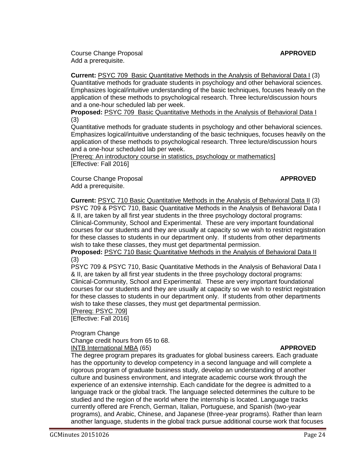**Course Change Proposal** *APPROVED* Add a prerequisite.

**Current:** PSYC 709 Basic Quantitative Methods in the Analysis of Behavioral Data I (3) Quantitative methods for graduate students in psychology and other behavioral sciences. Emphasizes logical/intuitive understanding of the basic techniques, focuses heavily on the application of these methods to psychological research. Three lecture/discussion hours and a one-hour scheduled lab per week.

**Proposed:** PSYC 709 Basic Quantitative Methods in the Analysis of Behavioral Data I (3)

Quantitative methods for graduate students in psychology and other behavioral sciences. Emphasizes logical/intuitive understanding of the basic techniques, focuses heavily on the application of these methods to psychological research. Three lecture/discussion hours and a one-hour scheduled lab per week.

[Prereq: An introductory course in statistics, psychology or mathematics] [Effective: Fall 2016]

**Course Change Proposal** *APPROVED* Add a prerequisite.

**Current:** PSYC 710 Basic Quantitative Methods in the Analysis of Behavioral Data II (3) PSYC 709 & PSYC 710, Basic Quantitative Methods in the Analysis of Behavioral Data I & II, are taken by all first year students in the three psychology doctoral programs: Clinical-Community, School and Experimental. These are very important foundational courses for our students and they are usually at capacity so we wish to restrict registration for these classes to students in our department only. If students from other departments wish to take these classes, they must get departmental permission.

**Proposed:** PSYC 710 Basic Quantitative Methods in the Analysis of Behavioral Data II (3)

PSYC 709 & PSYC 710, Basic Quantitative Methods in the Analysis of Behavioral Data I & II, are taken by all first year students in the three psychology doctoral programs: Clinical-Community, School and Experimental. These are very important foundational courses for our students and they are usually at capacity so we wish to restrict registration for these classes to students in our department only. If students from other departments wish to take these classes, they must get departmental permission.

[Prereq: PSYC 709]

[Effective: Fall 2016]

Program Change

Change credit hours from 65 to 68. INTB International MBA (65) **APPROVED**

The degree program prepares its graduates for global business careers. Each graduate has the opportunity to develop competency in a second language and will complete a rigorous program of graduate business study, develop an understanding of another culture and business environment, and integrate academic course work through the experience of an extensive internship. Each candidate for the degree is admitted to a language track or the global track. The language selected determines the culture to be studied and the region of the world where the internship is located. Language tracks currently offered are French, German, Italian, Portuguese, and Spanish (two-year programs), and Arabic, Chinese, and Japanese (three-year programs). Rather than learn another language, students in the global track pursue additional course work that focuses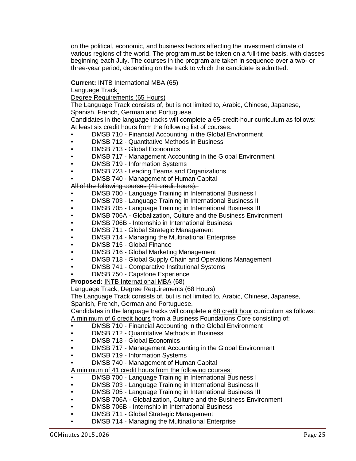on the political, economic, and business factors affecting the investment climate of various regions of the world. The program must be taken on a full-time basis, with classes beginning each July. The courses in the program are taken in sequence over a two- or three-year period, depending on the track to which the candidate is admitted.

# **Current:** INTB International MBA (65)

Language Track

Degree Requirements (65 Hours)

The Language Track consists of, but is not limited to, Arabic, Chinese, Japanese, Spanish, French, German and Portuguese.

Candidates in the language tracks will complete a 65-credit-hour curriculum as follows: At least six credit hours from the following list of courses:

- DMSB 710 Financial Accounting in the Global Environment
- DMSB 712 Quantitative Methods in Business
- DMSB 713 Global Economics
- DMSB 717 Management Accounting in the Global Environment
- DMSB 719 Information Systems
- DMSB 723 Leading Teams and Organizations
- DMSB 740 Management of Human Capital

All of the following courses (41 credit hours):

- DMSB 700 Language Training in International Business I
- DMSB 703 Language Training in International Business II
- DMSB 705 Language Training in International Business III
- DMSB 706A Globalization, Culture and the Business Environment
- DMSB 706B Internship in International Business
- DMSB 711 Global Strategic Management
- DMSB 714 Managing the Multinational Enterprise
- DMSB 715 Global Finance
- DMSB 716 Global Marketing Management
- DMSB 718 Global Supply Chain and Operations Management
- DMSB 741 Comparative Institutional Systems
- DMSB 750 Capstone Experience

### **Proposed:** INTB International MBA (68)

Language Track, Degree Requirements (68 Hours)

The Language Track consists of, but is not limited to, Arabic, Chinese, Japanese,

Spanish, French, German and Portuguese.

Candidates in the language tracks will complete a 68 credit hour curriculum as follows:

A minimum of 6 credit hours from a Business Foundations Core consisting of:

- DMSB 710 Financial Accounting in the Global Environment
- DMSB 712 Quantitative Methods in Business
- DMSB 713 Global Economics
- DMSB 717 Management Accounting in the Global Environment
- DMSB 719 Information Systems
- DMSB 740 Management of Human Capital

A minimum of 41 credit hours from the following courses:

- DMSB 700 Language Training in International Business I
- DMSB 703 Language Training in International Business II
- DMSB 705 Language Training in International Business III
- DMSB 706A Globalization, Culture and the Business Environment
- DMSB 706B Internship in International Business
- DMSB 711 Global Strategic Management
- DMSB 714 Managing the Multinational Enterprise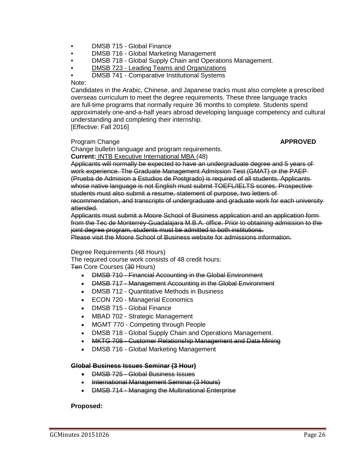- DMSB 715 Global Finance
- DMSB 716 Global Marketing Management
- DMSB 718 Global Supply Chain and Operations Management.
- DMSB 723 Leading Teams and Organizations
- DMSB 741 Comparative Institutional Systems

### Note:

Candidates in the Arabic, Chinese, and Japanese tracks must also complete a prescribed overseas curriculum to meet the degree requirements. These three language tracks are full-time programs that normally require 36 months to complete. Students spend approximately one-and-a-half years abroad developing language competency and cultural understanding and completing their internship. [Effective: Fall 2016]

Program Change **APPROVED**

Change bulletin language and program requirements.

**Current:** INTB Executive International MBA (48)

Applicants will normally be expected to have an undergraduate degree and 5 years of work experience. The Graduate Management Admission Test (GMAT) or the PAEP (Prueba de Admision a Estudios de Postgrado) is required of all students. Applicants whose native language is not English must submit TOEFL/IELTS scores. Prospective students must also submit a resume, statement of purpose, two letters of recommendation, and transcripts of undergraduate and graduate work for each university attended.

Applicants must submit a Moore School of Business application and an application form from the Tec de Monterrey-Guadalajara M.B.A. office. Prior to obtaining admission to the joint degree program, students must be admitted to both institutions.

Please visit the Moore School of Business website for admissions information.

#### Degree Requirements (48 Hours)

The required course work consists of 48 credit hours:

Ten Core Courses (30 Hours)

- DMSB 710 Financial Accounting in the Global Environment
- DMSB 717 Management Accounting in the Global Environment
- DMSB 712 Quantitative Methods in Business
- ECON 720 Managerial Economics
- DMSB 715 Global Finance
- MBAD 702 Strategic Management
- MGMT 770 Competing through People
- DMSB 718 Global Supply Chain and Operations Management.
- MKTG 708 Customer Relationship Management and Data Mining
- DMSB 716 Global Marketing Management

#### **Global Business Issues Seminar (3 Hour)**

- DMSB 725 Global Business Issues
- International Management Seminar (3 Hours)
- DMSB 714 Managing the Multinational Enterprise

#### **Proposed:**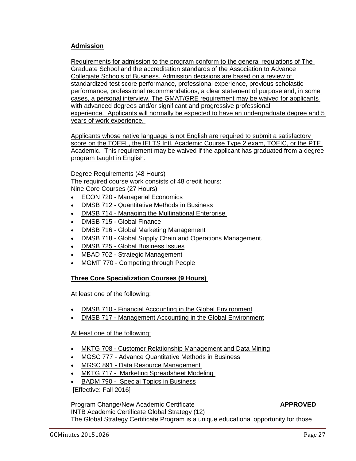# **Admission**

Requirements for admission to the program conform to the general regulations of The Graduate School and the accreditation standards of the Association to Advance Collegiate Schools of Business. Admission decisions are based on a review of standardized test score performance, professional experience, previous scholastic performance, professional recommendations, a clear statement of purpose and, in some cases, a personal interview. The GMAT/GRE requirement may be waived for applicants with advanced degrees and/or significant and progressive professional experience. Applicants will normally be expected to have an undergraduate degree and 5 years of work experience.

Applicants whose native language is not English are required to submit a satisfactory score on the TOEFL, the IELTS Intl. Academic Course Type 2 exam, TOEIC, or the PTE Academic. This requirement may be waived if the applicant has graduated from a degree program taught in English.

Degree Requirements (48 Hours)

The required course work consists of 48 credit hours: Nine Core Courses (27 Hours)

- ECON 720 Managerial Economics
- DMSB 712 Quantitative Methods in Business
- DMSB 714 Managing the Multinational Enterprise
- DMSB 715 Global Finance
- DMSB 716 Global Marketing Management
- DMSB 718 Global Supply Chain and Operations Management.
- DMSB 725 Global Business Issues
- MBAD 702 Strategic Management
- MGMT 770 Competing through People

#### **Three Core Specialization Courses (9 Hours)**

#### At least one of the following:

- DMSB 710 Financial Accounting in the Global Environment
- DMSB 717 Management Accounting in the Global Environment

#### At least one of the following:

- MKTG 708 Customer Relationship Management and Data Mining
- MGSC 777 Advance Quantitative Methods in Business
- MGSC 891 Data Resource Management
- MKTG 717 Marketing Spreadsheet Modeling
- BADM 790 Special Topics in Business

[Effective: Fall 2016]

Program Change/New Academic Certificate **APPROVED** INTB Academic Certificate Global Strategy (12) The Global Strategy Certificate Program is a unique educational opportunity for those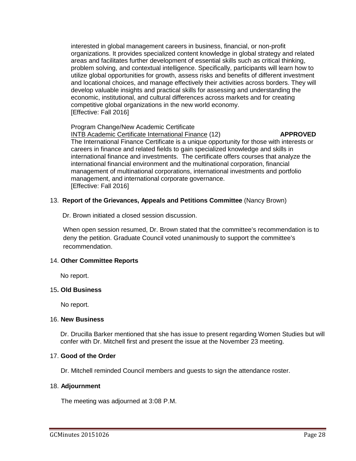interested in global management careers in business, financial, or non-profit organizations. It provides specialized content knowledge in global strategy and related areas and facilitates further development of essential skills such as critical thinking, problem solving, and contextual intelligence. Specifically, participants will learn how to utilize global opportunities for growth, assess risks and benefits of different investment and locational choices, and manage effectively their activities across borders. They will develop valuable insights and practical skills for assessing and understanding the economic, institutional, and cultural differences across markets and for creating competitive global organizations in the new world economy. [Effective: Fall 2016]

Program Change/New Academic Certificate

INTB Academic Certificate International Finance (12) **APPROVED**

The International Finance Certificate is a unique opportunity for those with interests or careers in finance and related fields to gain specialized knowledge and skills in international finance and investments. The certificate offers courses that analyze the international financial environment and the multinational corporation, financial management of multinational corporations, international investments and portfolio management, and international corporate governance. [Effective: Fall 2016]

### 13. **Report of the Grievances, Appeals and Petitions Committee** (Nancy Brown)

Dr. Brown initiated a closed session discussion.

When open session resumed, Dr. Brown stated that the committee's recommendation is to deny the petition. Graduate Council voted unanimously to support the committee's recommendation.

#### 14. **Other Committee Reports**

No report.

#### 15**. Old Business**

No report.

#### 16. **New Business**

Dr. Drucilla Barker mentioned that she has issue to present regarding Women Studies but will confer with Dr. Mitchell first and present the issue at the November 23 meeting.

#### 17. **Good of the Order**

Dr. Mitchell reminded Council members and guests to sign the attendance roster.

#### 18. **Adjournment**

The meeting was adjourned at 3:08 P.M.